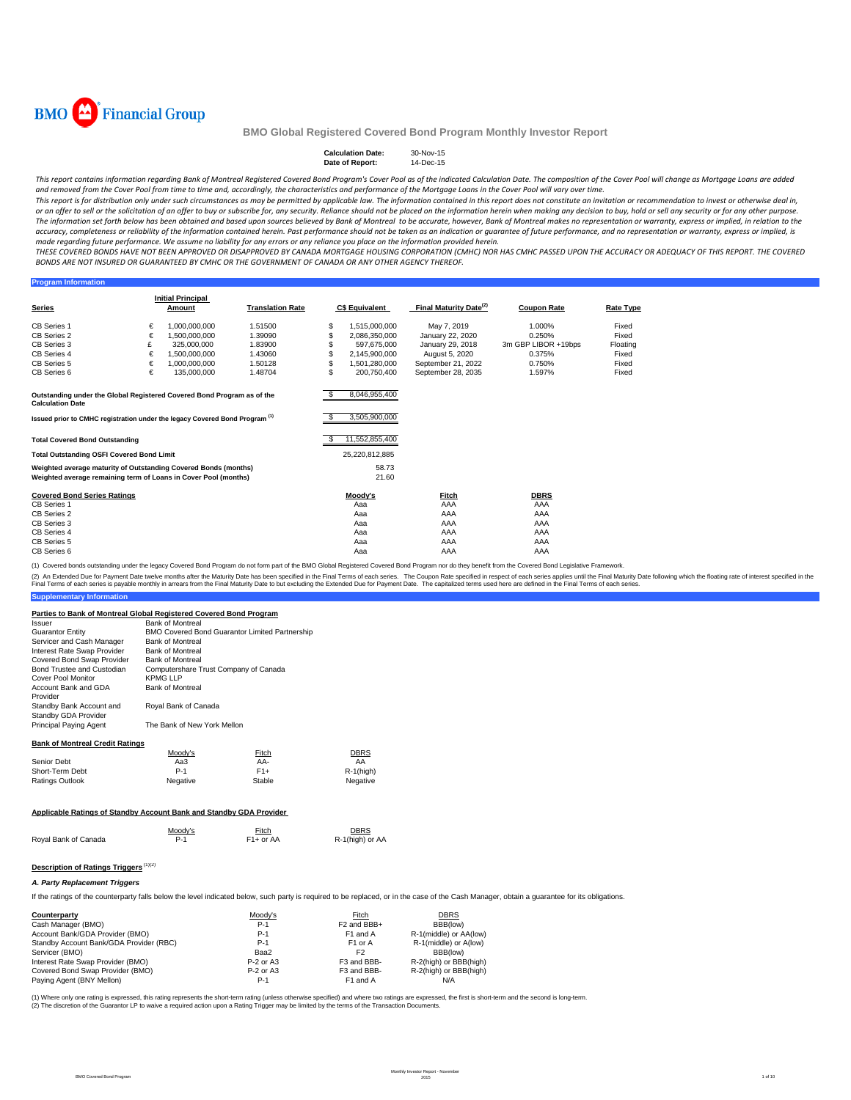

#### **Calculation Date:** 30-Nov-15<br>Date of Report: 14-Dec-15 **Date of Report:**

This report contains information regarding Bank of Montreal Registered Covered Bond Program's Cover Pool as of the indicated Calculation Date. The composition of the Cover Pool will change as Mortgage Loans are added and removed from the Cover Pool from time to time and, accordingly, the characteristics and performance of the Mortgage Loans in the Cover Pool will vary over time.

This report is for distribution only under such circumstances as may be permitted by applicable law. The information contained in this report does not constitute an invitation or recommendation to invest or otherwise deal or an offer to sell or the solicitation of an offer to buy or subscribe for, any security. Reliance should not be placed on the information herein when making any decision to buy, hold or sell any security or for any other The information set forth below has been obtained and based upon sources believed by Bank of Montreal to be accurate, however, Bank of Montreal makes no representation or warranty, express or implied, in relation to the accuracy, completeness or reliability of the information contained herein. Past performance should not be taken as an indication or guarantee of future performance, and no representation or warranty, express or implied, is made regarding future performance. We assume no liability for any errors or any reliance you place on the information provided herein.

THESE COVERED BONDS HAVE NOT BEEN APPROVED OR DISAPPROVED BY CANADA MORTGAGE HOUSING CORPORATION (CMHC) NOR HAS CMHC PASSED UPON THE ACCURACY OR ADEQUACY OF THIS REPORT. THE COVERED BONDS ARE NOT INSURED OR GUARANTEED BY CMHC OR THE GOVERNMENT OF CANADA OR ANY OTHER AGENCY THEREOF.

#### **Program Information**

|                                                                                                   |   | <b>Initial Principal</b> |                         |    |                       |                                    |                     |                  |
|---------------------------------------------------------------------------------------------------|---|--------------------------|-------------------------|----|-----------------------|------------------------------------|---------------------|------------------|
| <b>Series</b>                                                                                     |   | Amount                   | <b>Translation Rate</b> |    | <b>C\$ Equivalent</b> | Final Maturity Date <sup>(2)</sup> | <b>Coupon Rate</b>  | <b>Rate Type</b> |
| <b>CB Series 1</b>                                                                                | € | 1.000.000.000            | 1.51500                 | \$ | 1.515.000.000         | May 7, 2019                        | 1.000%              | Fixed            |
| CB Series 2                                                                                       | € | 1.500.000.000            | 1.39090                 | S. | 2,086,350,000         | January 22, 2020                   | 0.250%              | Fixed            |
| CB Series 3                                                                                       | £ | 325.000.000              | 1.83900                 |    | 597.675.000           | January 29, 2018                   | 3m GBP LIBOR +19bps | Floating         |
| CB Series 4                                                                                       | € | 1.500.000.000            | 1.43060                 |    | 2,145,900,000         | August 5, 2020                     | 0.375%              | Fixed            |
| CB Series 5                                                                                       | € | 1.000.000.000            | 1.50128                 | \$ | 1.501.280.000         | September 21, 2022                 | 0.750%              | Fixed            |
| CB Series 6                                                                                       | € | 135,000,000              | 1.48704                 | Ś. | 200.750.400           | September 28, 2035                 | 1.597%              | Fixed            |
|                                                                                                   |   |                          |                         |    |                       |                                    |                     |                  |
|                                                                                                   |   |                          |                         |    |                       |                                    |                     |                  |
| Outstanding under the Global Registered Covered Bond Program as of the<br><b>Calculation Date</b> |   |                          |                         |    | 8,046,955,400         |                                    |                     |                  |
|                                                                                                   |   |                          |                         |    | 3,505,900,000         |                                    |                     |                  |
| Issued prior to CMHC registration under the legacy Covered Bond Program <sup>(1)</sup>            |   |                          |                         |    |                       |                                    |                     |                  |
|                                                                                                   |   |                          |                         |    |                       |                                    |                     |                  |
| <b>Total Covered Bond Outstanding</b>                                                             |   |                          |                         |    | 11,552,855,400        |                                    |                     |                  |
| <b>Total Outstanding OSFI Covered Bond Limit</b>                                                  |   |                          |                         |    | 25,220,812,885        |                                    |                     |                  |
| Weighted average maturity of Outstanding Covered Bonds (months)                                   |   |                          |                         |    | 58.73                 |                                    |                     |                  |
| Weighted average remaining term of Loans in Cover Pool (months)                                   |   |                          |                         |    | 21.60                 |                                    |                     |                  |
| <b>Covered Bond Series Ratings</b>                                                                |   |                          |                         |    | Moody's               | Fitch                              | <b>DBRS</b>         |                  |
| <b>CB Series 1</b>                                                                                |   |                          |                         |    | Aaa                   | AAA                                | AAA                 |                  |
| CB Series 2                                                                                       |   |                          |                         |    | Aaa                   | AAA                                | AAA                 |                  |
| CB Series 3                                                                                       |   |                          |                         |    | Aaa                   | AAA                                | AAA                 |                  |
| CB Series 4                                                                                       |   |                          |                         |    | Aaa                   | AAA                                | AAA                 |                  |
| CB Series 5                                                                                       |   |                          |                         |    | Aaa                   | AAA                                | AAA                 |                  |
| CB Series 6                                                                                       |   |                          |                         |    | Aaa                   | AAA                                | AAA                 |                  |

(1) Covered bonds outstanding under the legacy Covered Bond Program do not form part of the BMO Global Registered Covered Bond Program nor do they benefit from the Covered Bond Legislative Framework.

**Supplementary Information** (2) An Extended Due for Payment Date twelve months after the Maturity Date has been specified in the Final Terms of each series. The Coupon Rate specified in the found help that a base to but excluding the Extended Due for

#### **Parties to Bank of Montreal Global Registered Covered Bond Program**

| ando to Bank or montrear crosser registered covered Bond Frogram    |                                       |                                                |                 |
|---------------------------------------------------------------------|---------------------------------------|------------------------------------------------|-----------------|
| Issuer                                                              | <b>Bank of Montreal</b>               |                                                |                 |
| <b>Guarantor Entity</b>                                             |                                       | BMO Covered Bond Guarantor Limited Partnership |                 |
| Servicer and Cash Manager                                           | <b>Bank of Montreal</b>               |                                                |                 |
| Interest Rate Swap Provider                                         | <b>Bank of Montreal</b>               |                                                |                 |
| Covered Bond Swap Provider                                          | <b>Bank of Montreal</b>               |                                                |                 |
| Bond Trustee and Custodian                                          | Computershare Trust Company of Canada |                                                |                 |
| Cover Pool Monitor                                                  | <b>KPMG LLP</b>                       |                                                |                 |
| Account Bank and GDA<br>Provider                                    | <b>Bank of Montreal</b>               |                                                |                 |
| Standby Bank Account and<br>Standby GDA Provider                    | Royal Bank of Canada                  |                                                |                 |
| Principal Paying Agent                                              | The Bank of New York Mellon           |                                                |                 |
| <b>Bank of Montreal Credit Ratings</b>                              |                                       |                                                |                 |
|                                                                     | Moody's                               | Fitch                                          | DBRS            |
| Senior Debt                                                         | Aa3                                   | AA-                                            | AA              |
| Short-Term Debt                                                     | $P-1$                                 | $F1+$                                          | $R-1$ (high)    |
| Ratings Outlook                                                     | Negative                              | Stable                                         | Negative        |
|                                                                     |                                       |                                                |                 |
| Applicable Ratings of Standby Account Bank and Standby GDA Provider |                                       |                                                |                 |
|                                                                     | Moody's                               | Fitch                                          | DBRS            |
| Royal Bank of Canada                                                | $P-1$                                 | $F1+$ or AA                                    | R-1(high) or AA |
|                                                                     | 143103                                |                                                |                 |

#### **Description of Ratings Triggers** (1)(2)

#### *A. Party Replacement Triggers*

If the ratings of the counterparty falls below the level indicated below, such party is required to be replaced, or in the case of the Cash Manager, obtain a guarantee for its obligations.

| Counterparty                            | Moodv's     | Fitch                   | <b>DBRS</b>            |
|-----------------------------------------|-------------|-------------------------|------------------------|
| Cash Manager (BMO)                      | $P-1$       | F <sub>2</sub> and BBB+ | BBB(low)               |
| Account Bank/GDA Provider (BMO)         | $P-1$       | F1 and A                | R-1(middle) or AA(low) |
| Standby Account Bank/GDA Provider (RBC) | $P-1$       | F <sub>1</sub> or A     | R-1(middle) or A(low)  |
| Servicer (BMO)                          | Baa2        | F <sub>2</sub>          | BBB(low)               |
| Interest Rate Swap Provider (BMO)       | $P-2$ or A3 | F3 and BBB-             | R-2(high) or BBB(high) |
| Covered Bond Swap Provider (BMO)        | $P-2$ or A3 | F <sub>3</sub> and BBB- | R-2(high) or BBB(high) |
| Paying Agent (BNY Mellon)               | $P-1$       | F1 and A                | N/A                    |

(1) Where only one rating is expressed, this rating represents the short-term rating (unless otherwise specified) and where two ratings are expressed, the first is short-term and the second is long-term. (2) The discretion of the Guarantor LP to waive a required action upon a Rating Trigger may be limited by the terms of the Transaction Documents.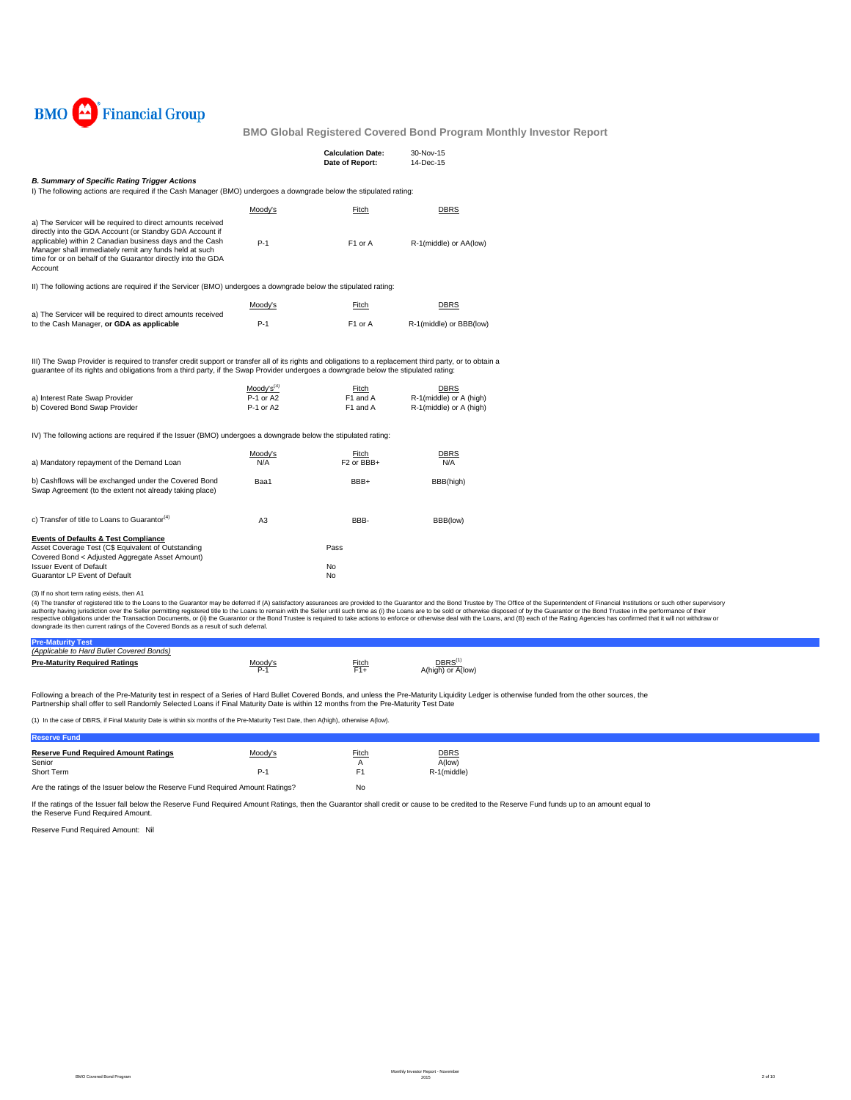

|                                                                                                                                                                                                                                                                                                                          |                                          | <b>Calculation Date:</b><br>Date of Report: | 30-Nov-15<br>14-Dec-15                                     |
|--------------------------------------------------------------------------------------------------------------------------------------------------------------------------------------------------------------------------------------------------------------------------------------------------------------------------|------------------------------------------|---------------------------------------------|------------------------------------------------------------|
| <b>B. Summary of Specific Rating Trigger Actions</b>                                                                                                                                                                                                                                                                     |                                          |                                             |                                                            |
| I) The following actions are required if the Cash Manager (BMO) undergoes a downgrade below the stipulated rating:                                                                                                                                                                                                       |                                          |                                             |                                                            |
|                                                                                                                                                                                                                                                                                                                          | Moody's                                  | Fitch                                       | <b>DBRS</b>                                                |
|                                                                                                                                                                                                                                                                                                                          |                                          |                                             |                                                            |
| a) The Servicer will be required to direct amounts received<br>directly into the GDA Account (or Standby GDA Account if<br>applicable) within 2 Canadian business days and the Cash<br>Manager shall immediately remit any funds held at such<br>time for or on behalf of the Guarantor directly into the GDA<br>Account | $P-1$                                    | F1 or A                                     | R-1(middle) or AA(low)                                     |
| II) The following actions are required if the Servicer (BMO) undergoes a downgrade below the stipulated rating:                                                                                                                                                                                                          |                                          |                                             |                                                            |
|                                                                                                                                                                                                                                                                                                                          | Moody's                                  | Fitch                                       | <b>DBRS</b>                                                |
| a) The Servicer will be required to direct amounts received                                                                                                                                                                                                                                                              |                                          |                                             |                                                            |
| to the Cash Manager, or GDA as applicable                                                                                                                                                                                                                                                                                | $P-1$                                    | F1 or A                                     | R-1(middle) or BBB(low)                                    |
| quarantee of its rights and obligations from a third party, if the Swap Provider undergoes a downgrade below the stipulated rating:<br>a) Interest Rate Swap Provider<br>b) Covered Bond Swap Provider                                                                                                                   | $Mody's^{(3)}$<br>P-1 or A2<br>P-1 or A2 | Fitch<br>F1 and A<br>F1 and A               | DBRS<br>R-1(middle) or A (high)<br>R-1(middle) or A (high) |
| IV) The following actions are required if the Issuer (BMO) undergoes a downgrade below the stipulated rating:                                                                                                                                                                                                            |                                          |                                             |                                                            |
|                                                                                                                                                                                                                                                                                                                          | Moody's                                  | Fitch                                       | <b>DBRS</b>                                                |
| a) Mandatory repayment of the Demand Loan                                                                                                                                                                                                                                                                                | N/A                                      | F <sub>2</sub> or BB <sub>H</sub>           | N/A                                                        |
| b) Cashflows will be exchanged under the Covered Bond<br>Swap Agreement (to the extent not already taking place)                                                                                                                                                                                                         | Baa1                                     | BBB+                                        | BBB(high)                                                  |
| c) Transfer of title to Loans to Guarantor <sup>(4)</sup>                                                                                                                                                                                                                                                                | A <sub>3</sub>                           | BBB-                                        | BBB(low)                                                   |
| <b>Events of Defaults &amp; Test Compliance</b><br>Asset Coverage Test (C\$ Equivalent of Outstanding                                                                                                                                                                                                                    |                                          | Pass                                        |                                                            |
| Covered Bond < Adjusted Aggregate Asset Amount)<br><b>Issuer Event of Default</b>                                                                                                                                                                                                                                        |                                          | No                                          |                                                            |

Guarantor LP Event of Default No. 2006. The Countries of the Countries of the Countries of No. 2006. No. 2007

### (3) If no short term rating exists, then A1

(4) The transfer of registered title to the Loans to the Guarantor may be deferred if (A) satisfactory assurances are provided to the Guarantor and the Belle remains of profile to the Superintent of Financial Institutions

| (Applicable to Hard Bullet Covered Bonds) |                  |        |                     |
|-------------------------------------------|------------------|--------|---------------------|
| <b>Pre-Maturity Required Ratings</b>      | Moody's<br>$P-1$ | Fitch. | DBRS <sup>(1)</sup> |
|                                           |                  | F1+    | or $A$ (low)        |
|                                           |                  |        |                     |

Following a breach of the Pre-Maturity test in respect of a Series of Hard Bullet Covered Bonds, and unless the Pre-Maturity Liquidity Ledger is otherwise funded from the other sources, the<br>Partnership shall offer to sell

(1) In the case of DBRS, if Final Maturity Date is within six months of the Pre-Maturity Test Date, then A(high), otherwise A(low).

#### **Reserve Fund**

| <b>Reserve Fund Required Amount Ratings</b><br>Senior<br>Short Term           | Moody's<br>P-1 | <b>Fitch</b><br>F1 | <b>DBRS</b><br>A(low)<br>R-1(middle) |
|-------------------------------------------------------------------------------|----------------|--------------------|--------------------------------------|
| Are the ratings of the Issuer below the Reserve Fund Required Amount Ratings? | No             |                    |                                      |

If the ratings of the Issuer fall below the Reserve Fund Required Amount Ratings, then the Guarantor shall credit or cause to be credited to the Reserve Fund funds up to an amount equal to the Reserve Fund Required Amount.

Reserve Fund Required Amount: Nil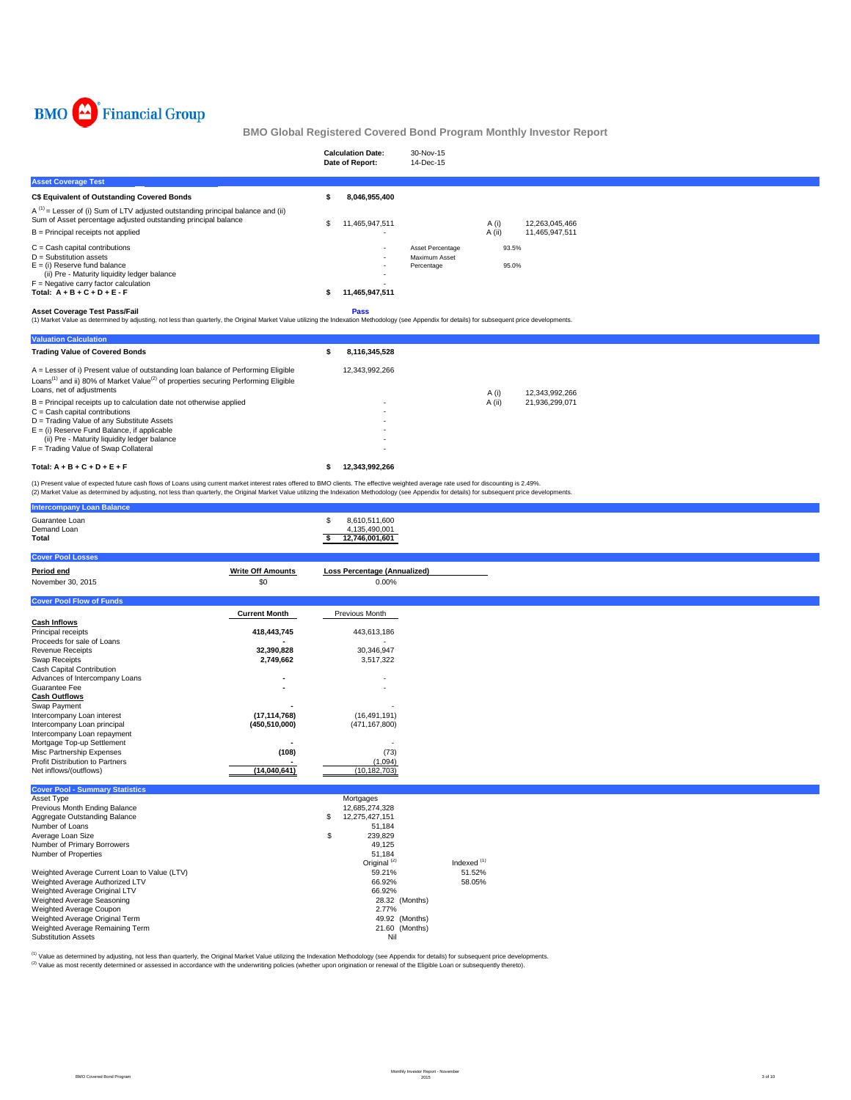

|                                                                                                                                                                                                                                                                      |     | <b>Calculation Date:</b><br>Date of Report: | 30-Nov-15<br>14-Dec-15                          |                |                |
|----------------------------------------------------------------------------------------------------------------------------------------------------------------------------------------------------------------------------------------------------------------------|-----|---------------------------------------------|-------------------------------------------------|----------------|----------------|
| <b>Asset Coverage Test</b>                                                                                                                                                                                                                                           |     |                                             |                                                 |                |                |
| <b>C\$ Equivalent of Outstanding Covered Bonds</b>                                                                                                                                                                                                                   |     | 8,046,955,400                               |                                                 |                |                |
| $A^{(1)}$ = Lesser of (i) Sum of LTV adjusted outstanding principal balance and (ii)<br>Sum of Asset percentage adjusted outstanding principal balance                                                                                                               | \$. | 11,465,947,511                              |                                                 | A (i)          | 12.263.045.466 |
| $B =$ Principal receipts not applied                                                                                                                                                                                                                                 |     |                                             |                                                 | $A$ (ii)       | 11,465,947,511 |
| $C =$ Cash capital contributions<br>$D =$ Substitution assets<br>$E =$ (i) Reserve fund balance<br>(ii) Pre - Maturity liquidity ledger balance<br>$F =$ Negative carry factor calculation<br>Total: $A + B + C + D + E - F$<br><b>Asset Coverage Test Pass/Fail</b> |     | 11,465,947,511<br>Pass                      | Asset Percentage<br>Maximum Asset<br>Percentage | 93.5%<br>95.0% |                |
| (1) Market Value as determined by adjusting, not less than quarterly, the Original Market Value utilizing the Indexation Methodology (see Appendix for details) for subsequent price developments.                                                                   |     |                                             |                                                 |                |                |
| <b>Valuation Calculation</b><br><b>Trading Value of Covered Bonds</b>                                                                                                                                                                                                |     | 8,116,345,528                               |                                                 |                |                |
|                                                                                                                                                                                                                                                                      |     |                                             |                                                 |                |                |
| A = Lesser of i) Present value of outstanding loan balance of Performing Eligible<br>Loans <sup>(1)</sup> and ii) 80% of Market Value <sup>(2)</sup> of properties securing Performing Eligible<br>Loans, net of adjustments                                         |     | 12,343,992,266                              |                                                 | A (i)          | 12,343,992,266 |
| $B =$ Principal receipts up to calculation date not otherwise applied<br>$C =$ Cash capital contributions<br>D = Trading Value of any Substitute Assets<br>$E =$ (i) Reserve Fund Balance, if applicable                                                             |     |                                             |                                                 | A (ii)         | 21,936,299,071 |

#### **Total: A + B + C + D + E + F 12,343,992,266 \$**

(1) Present value of expected future cash flows of Loans using current market interest rates offered to BMO clients. The effective weighted average rate used for discounting is 2.49%.<br>(2) Market Value as determined by adju

D = Trading Value of any Substitute Assets - E = (i) Reserve Fund Balance, if applicable - (ii) Pre - Maturity liquidity ledger balance - F = Trading Value of Swap Collateral -

| <b>Intercompany Loan Balance</b>                |                          |                                                        |                        |  |  |  |
|-------------------------------------------------|--------------------------|--------------------------------------------------------|------------------------|--|--|--|
| Guarantee Loan<br>Demand Loan<br>Total          |                          | \$<br>8,610,511,600<br>4,135,490,001<br>12,746,001,601 |                        |  |  |  |
| <b>Cover Pool Losses</b>                        |                          |                                                        |                        |  |  |  |
| Period end                                      | <b>Write Off Amounts</b> | <b>Loss Percentage (Annualized)</b>                    |                        |  |  |  |
| November 30, 2015                               | \$0                      | 0.00%                                                  |                        |  |  |  |
|                                                 |                          |                                                        |                        |  |  |  |
| <b>Cover Pool Flow of Funds</b>                 |                          |                                                        |                        |  |  |  |
|                                                 | <b>Current Month</b>     | Previous Month                                         |                        |  |  |  |
| <b>Cash Inflows</b>                             |                          |                                                        |                        |  |  |  |
| Principal receipts                              | 418,443,745              | 443,613,186                                            |                        |  |  |  |
| Proceeds for sale of Loans                      |                          |                                                        |                        |  |  |  |
| <b>Revenue Receipts</b>                         | 32,390,828               | 30,346,947                                             |                        |  |  |  |
| Swap Receipts                                   | 2,749,662                | 3,517,322                                              |                        |  |  |  |
| Cash Capital Contribution                       |                          |                                                        |                        |  |  |  |
| Advances of Intercompany Loans<br>Guarantee Fee |                          |                                                        |                        |  |  |  |
| <b>Cash Outflows</b>                            |                          |                                                        |                        |  |  |  |
| Swap Payment                                    |                          |                                                        |                        |  |  |  |
| Intercompany Loan interest                      | (17, 114, 768)           | (16, 491, 191)                                         |                        |  |  |  |
| Intercompany Loan principal                     | (450, 510, 000)          | (471, 167, 800)                                        |                        |  |  |  |
| Intercompany Loan repayment                     |                          |                                                        |                        |  |  |  |
| Mortgage Top-up Settlement                      |                          |                                                        |                        |  |  |  |
| Misc Partnership Expenses                       | (108)                    | (73)                                                   |                        |  |  |  |
| <b>Profit Distribution to Partners</b>          |                          | (1,094)                                                |                        |  |  |  |
| Net inflows/(outflows)                          | (14,040,641)             | (10, 182, 703)                                         |                        |  |  |  |
| <b>Cover Pool - Summary Statistics</b>          |                          |                                                        |                        |  |  |  |
| Asset Type                                      |                          | Mortgages                                              |                        |  |  |  |
| Previous Month Ending Balance                   |                          | 12,685,274,328                                         |                        |  |  |  |
| Aggregate Outstanding Balance                   |                          | 12,275,427,151<br>S                                    |                        |  |  |  |
| Number of Loans                                 |                          | 51,184                                                 |                        |  |  |  |
| Average Loan Size                               |                          | 239,829<br>\$                                          |                        |  |  |  |
| Number of Primary Borrowers                     |                          | 49,125                                                 |                        |  |  |  |
| Number of Properties                            |                          | 51,184<br>Original <sup>(2)</sup>                      | Indexed <sup>(1)</sup> |  |  |  |
| Weighted Average Current Loan to Value (LTV)    |                          | 59.21%                                                 | 51.52%                 |  |  |  |
| Weighted Average Authorized LTV                 |                          | 66.92%                                                 | 58.05%                 |  |  |  |
| Weighted Average Original LTV                   |                          | 66.92%                                                 |                        |  |  |  |
| Weighted Average Seasoning                      |                          | 28.32 (Months)                                         |                        |  |  |  |
| Weighted Average Coupon                         |                          | 2.77%                                                  |                        |  |  |  |
| Weighted Average Original Term                  |                          | 49.92 (Months)                                         |                        |  |  |  |
| Weighted Average Remaining Term                 |                          | 21.60 (Months)                                         |                        |  |  |  |
| <b>Substitution Assets</b>                      |                          | Nil                                                    |                        |  |  |  |

<sup>(1)</sup> Value as determined by adjusting, not less than quarterly, the Original Market Value utilizing the Indexation Methodology (see Appendix for details) for subsequent price developments.<br><sup>(2)</sup> Value as most recently det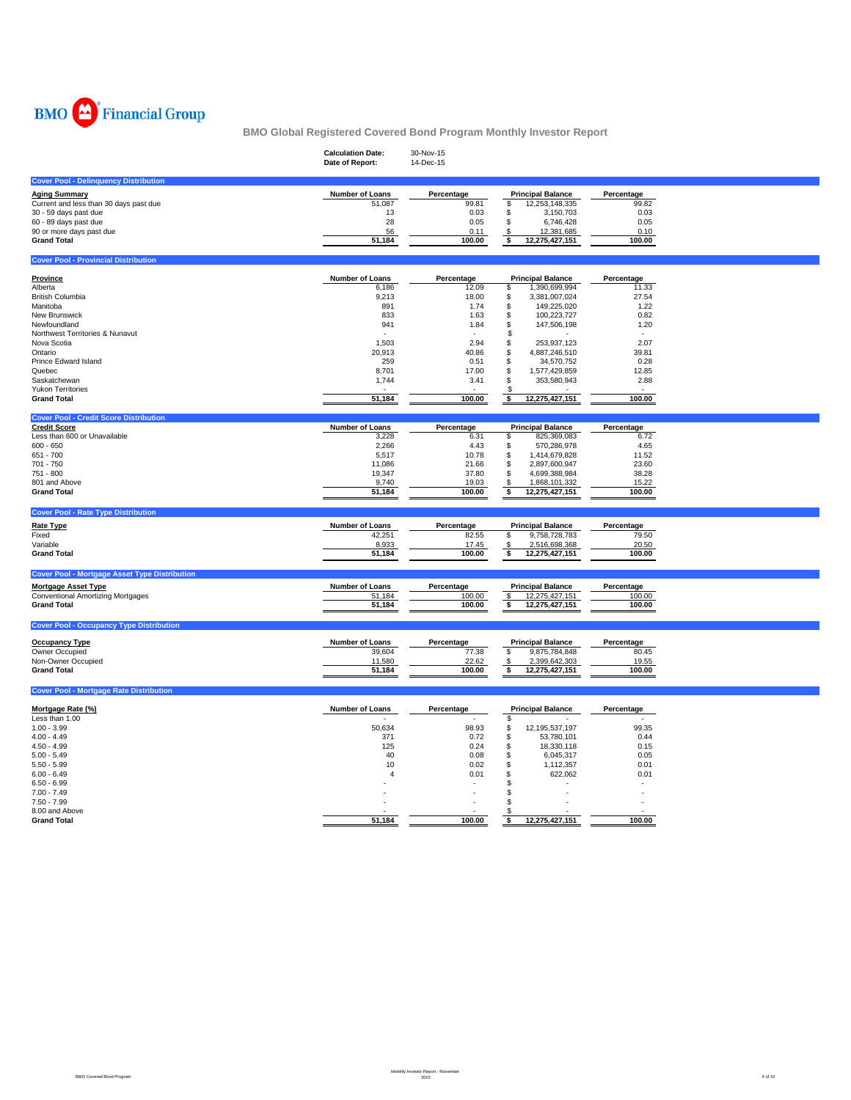

|                                                      | <b>Calculation Date:</b><br>Date of Report: | 30-Nov-15<br>14-Dec-15 |                                                 |                     |
|------------------------------------------------------|---------------------------------------------|------------------------|-------------------------------------------------|---------------------|
| <b>Cover Pool - Delinquency Distribution</b>         |                                             |                        |                                                 |                     |
| <b>Aging Summary</b>                                 | Number of Loans                             | Percentage             | <b>Principal Balance</b>                        | Percentage          |
| Current and less than 30 days past due               | 51,087                                      | 99.81                  | 12,253,148,335<br>\$                            | 99.82               |
| 30 - 59 days past due                                | 13                                          | 0.03                   | \$<br>3,150,703                                 | 0.03                |
| 60 - 89 days past due                                | 28                                          | 0.05                   | \$<br>6,746,428                                 | 0.05                |
| 90 or more days past due                             | 56                                          | 0.11                   | 12,381,685<br>\$                                | 0.10                |
| <b>Grand Total</b>                                   | 51,184                                      | 100.00                 | \$<br>12,275,427,151                            | 100.00              |
| <b>Cover Pool - Provincial Distribution</b>          |                                             |                        |                                                 |                     |
| <b>Province</b>                                      | Number of Loans                             | Percentage             | <b>Principal Balance</b>                        | Percentage          |
| Alberta                                              | 6,186                                       | 12.09                  | \$<br>1,390,699,994                             | 11.33               |
| <b>British Columbia</b>                              | 9,213                                       | 18.00                  | \$<br>3,381,007,024                             | 27.54               |
| Manitoba                                             | 891                                         | 1.74                   | \$<br>149,225,020                               | 1.22                |
| New Brunswick                                        | 833                                         | 1.63                   | \$<br>100,223,727                               | 0.82                |
| Newfoundland                                         | 941                                         | 1.84                   | \$<br>147,506,198                               | 1.20                |
| Northwest Territories & Nunavut                      |                                             |                        | \$                                              |                     |
| Nova Scotia<br>Ontario                               | 1,503                                       | 2.94<br>40.86          | 253,937,123<br>\$                               | 2.07<br>39.81       |
| Prince Edward Island                                 | 20,913<br>259                               | 0.51                   | 4,887,246,510<br>\$<br>\$<br>34,570,752         | 0.28                |
| Quebec                                               | 8,701                                       | 17.00                  | \$<br>1,577,429,859                             | 12.85               |
| Saskatchewan                                         | 1,744                                       | 3.41                   | 353,580,943<br>\$                               | 2.88                |
| <b>Yukon Territories</b>                             |                                             |                        |                                                 |                     |
| <b>Grand Total</b>                                   | 51,184                                      | 100.00                 | 12,275,427,151<br>\$                            | 100.00              |
| <b>Cover Pool - Credit Score Distribution</b>        |                                             |                        |                                                 |                     |
| <b>Credit Score</b>                                  | Number of Loans                             | Percentage             | <b>Principal Balance</b>                        | Percentage          |
| Less than 600 or Unavailable                         | 3,228                                       | 6.31                   | 825,369,083<br>\$                               | 6.72                |
| $600 - 650$                                          | 2,266                                       | 4.43                   | \$<br>570,286,978                               | 4.65                |
| 651 - 700                                            | 5,517                                       | 10.78                  | \$<br>1,414,679,828                             | 11.52               |
| 701 - 750                                            | 11,086                                      | 21.66                  | \$<br>2,897,600,947                             | 23.60               |
| 751 - 800                                            | 19,347                                      | 37.80                  | \$<br>4,699,388,984                             | 38.28               |
| 801 and Above<br><b>Grand Total</b>                  | 9,740<br>51,184                             | 19.03<br>100.00        | 1,868,101,332<br>\$<br>12,275,427,151<br>\$     | 15.22<br>100.00     |
|                                                      |                                             |                        |                                                 |                     |
| <b>Cover Pool - Rate Type Distribution</b>           |                                             |                        |                                                 |                     |
| <b>Rate Type</b>                                     | Number of Loans                             | Percentage             | <b>Principal Balance</b>                        | Percentage          |
| Fixed                                                | 42,251                                      | 82.55                  | \$<br>9,758,728,783                             | 79.50               |
| Variable                                             | 8,933                                       | 17.45                  | 2,516,698,368<br>\$                             | 20.50               |
| <b>Grand Total</b>                                   | 51,184                                      | 100.00                 | 12,275,427,151<br>\$                            | 100.00              |
| <b>Cover Pool - Mortgage Asset Type Distribution</b> |                                             |                        |                                                 |                     |
| <b>Mortgage Asset Type</b>                           | Number of Loans                             | Percentage             | <b>Principal Balance</b>                        | Percentage          |
| Conventional Amortizing Mortgages                    | 51,184                                      | 100.00                 | \$<br>12,275,427,151                            | 100.00              |
| <b>Grand Total</b>                                   | 51,184                                      | 100.00                 | \$<br>12,275,427,151                            | 100.00              |
| <b>Cover Pool - Occupancy Type Distribution</b>      |                                             |                        |                                                 |                     |
|                                                      |                                             |                        |                                                 |                     |
| <b>Occupancy Type</b><br>Owner Occupied              | <b>Number of Loans</b>                      | Percentage<br>77.38    | <b>Principal Balance</b><br>\$<br>9,875,784,848 | Percentage<br>80.45 |
| Non-Owner Occupied                                   | 39,604<br>11,580                            | 22.62                  | 2,399,642,303<br>\$                             | 19.55               |
| <b>Grand Total</b>                                   | 51,184                                      | 100.00                 | 12,275,427,151<br>\$                            | 100.00              |
|                                                      |                                             |                        |                                                 |                     |
| <b>Cover Pool - Mortgage Rate Distribution</b>       |                                             |                        |                                                 |                     |
| Mortgage Rate (%)                                    | Number of Loans                             | Percentage             | <b>Principal Balance</b>                        | Percentage          |
| Less than 1.00                                       |                                             |                        | \$                                              |                     |
| $1.00 - 3.99$                                        | 50,634                                      | 98.93                  | 12,195,537,197<br>\$                            | 99.35               |
| $4.00 - 4.49$                                        | 371                                         | 0.72                   | \$<br>53,780,101                                | 0.44                |
| $4.50 - 4.99$                                        | 125                                         | 0.24                   | \$<br>18,330,118                                | 0.15                |
| $5.00 - 5.49$                                        | 40                                          | 0.08                   | \$<br>6,045,317                                 | 0.05                |
| $5.50 - 5.99$<br>$6.00 - 6.49$                       | 10<br>$\overline{4}$                        | 0.02<br>0.01           | \$<br>1,112,357<br>622,062<br>S                 | 0.01<br>0.01        |
| $6.50 - 6.99$                                        |                                             |                        | S.                                              |                     |
| $7.00 - 7.49$                                        |                                             |                        |                                                 |                     |
| $7.50 - 7.99$                                        |                                             |                        |                                                 |                     |
| 8.00 and Above                                       |                                             |                        |                                                 |                     |
| <b>Grand Total</b>                                   | 51.184                                      | 100.00                 | 12,275,427,151<br>\$                            | 100.00              |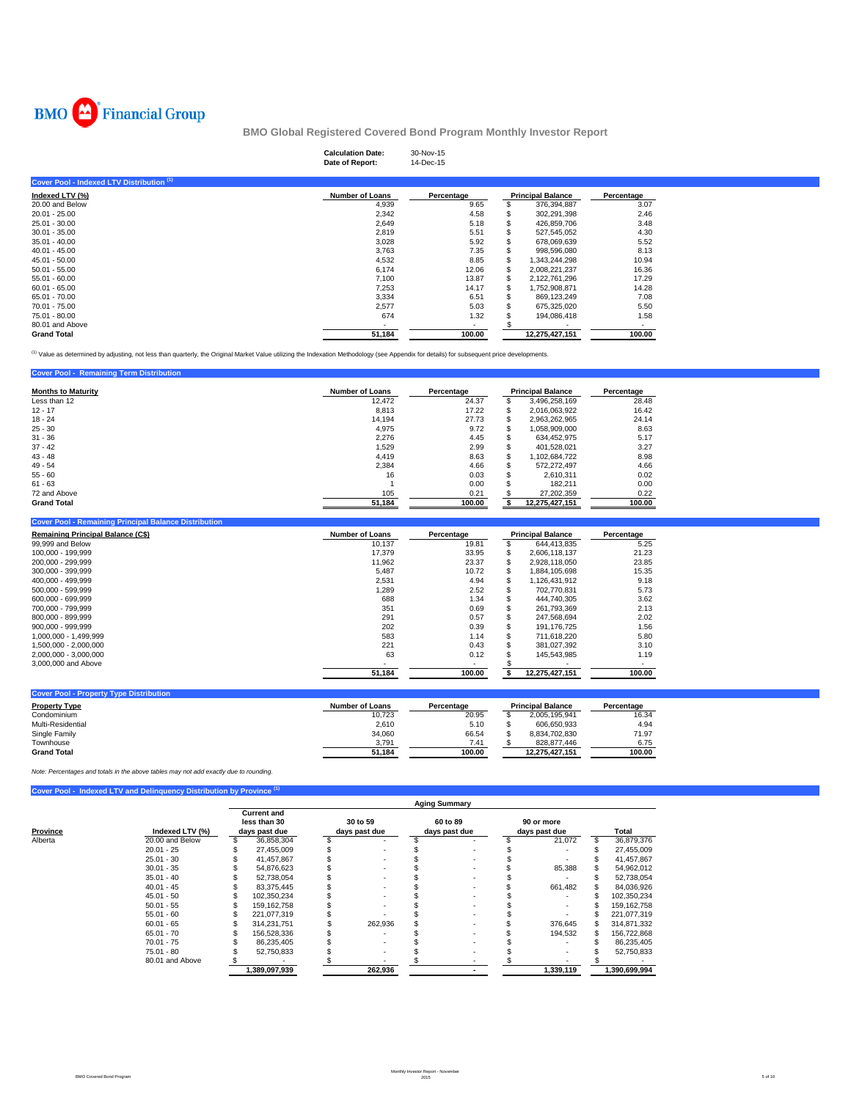

# **Calculation Date:** 30-Nov-15 **Date of Report:** 14-Dec-15

| Cover Pool - Indexed LTV Distribution (1) |                        |                          |                          |            |  |
|-------------------------------------------|------------------------|--------------------------|--------------------------|------------|--|
| Indexed LTV (%)                           | <b>Number of Loans</b> | Percentage               | <b>Principal Balance</b> | Percentage |  |
| 20.00 and Below                           | 4,939                  | 9.65                     | 376,394,887              | 3.07       |  |
| $20.01 - 25.00$                           | 2,342                  | 4.58                     | 302,291,398              | 2.46       |  |
| $25.01 - 30.00$                           | 2,649                  | 5.18                     | 426,859,706              | 3.48       |  |
| $30.01 - 35.00$                           | 2,819                  | 5.51                     | 527.545.052              | 4.30       |  |
| $35.01 - 40.00$                           | 3,028                  | 5.92                     | 678,069,639              | 5.52       |  |
| $40.01 - 45.00$                           | 3.763                  | 7.35                     | 998,596,080              | 8.13       |  |
| $45.01 - 50.00$                           | 4,532                  | 8.85                     | 1.343.244.298            | 10.94      |  |
| $50.01 - 55.00$                           | 6.174                  | 12.06                    | 2.008.221.237            | 16.36      |  |
| $55.01 - 60.00$                           | 7.100                  | 13.87                    | \$<br>2.122.761.296      | 17.29      |  |
| $60.01 - 65.00$                           | 7.253                  | 14.17                    | 1.752.908.871            | 14.28      |  |
| 65.01 - 70.00                             | 3,334                  | 6.51                     | 869,123,249              | 7.08       |  |
| 70.01 - 75.00                             | 2,577                  | 5.03                     | 675,325,020              | 5.50       |  |
| 75.01 - 80.00                             | 674                    | 1.32                     | 194.086.418              | 1.58       |  |
| 80.01 and Above                           |                        | $\overline{\phantom{a}}$ |                          | ٠          |  |
| <b>Grand Total</b>                        | 51,184                 | 100.00                   | 12,275,427,151           | 100.00     |  |

<sup>(1)</sup> Value as determined by adjusting, not less than quarterly, the Original Market Value utilizing the Indexation Methodology (see Appendix for details) for subsequent price developments.

| <b>Cover Pool - Remaining Term Distribution</b> |                        |            |                          |            |
|-------------------------------------------------|------------------------|------------|--------------------------|------------|
| <b>Months to Maturity</b>                       | <b>Number of Loans</b> | Percentage | <b>Principal Balance</b> | Percentage |
| Less than 12                                    | 12.472                 | 24.37      | 3,496,258,169            | 28.48      |
| $12 - 17$                                       | 8.813                  | 17.22      | 2,016,063,922            | 16.42      |
| $18 - 24$                                       | 14,194                 | 27.73      | 2,963,262,965            | 24.14      |
| $25 - 30$                                       | 4,975                  | 9.72       | 1,058,909,000            | 8.63       |
| $31 - 36$                                       | 2,276                  | 4.45       | 634.452.975              | 5.17       |
| $37 - 42$                                       | 1,529                  | 2.99       | 401.528.021              | 3.27       |
| $43 - 48$                                       | 4.419                  | 8.63       | 1.102.684.722            | 8.98       |
| $49 - 54$                                       | 2.384                  | 4.66       | 572.272.497              | 4.66       |
| $55 - 60$                                       | 16                     | 0.03       | 2.610.311                | 0.02       |
| $61 - 63$                                       |                        | 0.00       | 182.211                  | 0.00       |
| 72 and Above                                    | 105                    | 0.21       | 27.202.359               | 0.22       |
| <b>Grand Total</b>                              | 51.184                 | 100.00     | 12.275.427.151           | 100.00     |

| <b>Cover Pool - Remaining Principal Balance Distribution</b> |                        |            |                          |            |
|--------------------------------------------------------------|------------------------|------------|--------------------------|------------|
| <b>Remaining Principal Balance (C\$)</b>                     | <b>Number of Loans</b> | Percentage | <b>Principal Balance</b> | Percentage |
| 99,999 and Below                                             | 10.137                 | 19.81      | 644.413.835              | 5.25       |
| 100.000 - 199.999                                            | 17.379                 | 33.95      | 2.606.118.137            | 21.23      |
| 200.000 - 299.999                                            | 11,962                 | 23.37      | 2,928,118,050            | 23.85      |
| 300.000 - 399.999                                            | 5.487                  | 10.72      | 1.884.105.698            | 15.35      |
| 400.000 - 499.999                                            | 2.531                  | 4.94       | 1.126.431.912            | 9.18       |
| 500.000 - 599.999                                            | 1.289                  | 2.52       | 702.770.831              | 5.73       |
| 600.000 - 699.999                                            | 688                    | 1.34       | 444.740.305              | 3.62       |
| 700.000 - 799.999                                            | 351                    | 0.69       | 261.793.369              | 2.13       |
| 800.000 - 899.999                                            | 291                    | 0.57       | 247.568.694              | 2.02       |
| $900.000 - 999.999$                                          | 202                    | 0.39       | 191.176.725              | 1.56       |
| 1.000.000 - 1.499.999                                        | 583                    | 1.14       | 711.618.220              | 5.80       |
| 1.500.000 - 2.000.000                                        | 221                    | 0.43       | 381.027.392              | 3.10       |
| 2,000,000 - 3,000,000                                        | 63                     | 0.12       | 145.543.985              | 1.19       |
| 3,000,000 and Above                                          |                        |            |                          |            |
|                                                              | 51.184                 | 100.00     | 12.275.427.151           | 100.00     |

| Number of Loans | Percentage |                | Percentage               |
|-----------------|------------|----------------|--------------------------|
| 10.723          | 20.95      | 2.005.195.941  | 16.34                    |
| 2.610           | 5.10       | 606.650.933    | 4.94                     |
| 34,060          | 66.54      | 8.834.702.830  | 71.97                    |
| 3,791           | 7.41       | 828.877.446    | 6.75                     |
| 51.184          | 100.00     | 12.275.427.151 | 100.00                   |
|                 |            |                | <b>Principal Balance</b> |

*Note: Percentages and totals in the above tables may not add exactly due to rounding.*

|  | Cover Pool - Indexed LTV and Delinquency Distribution by Province (1) |  |
|--|-----------------------------------------------------------------------|--|
|  |                                                                       |  |

|          |                 | <b>Aging Summary</b> |                                                     |  |                           |  |                           |  |                             |   |               |  |  |
|----------|-----------------|----------------------|-----------------------------------------------------|--|---------------------------|--|---------------------------|--|-----------------------------|---|---------------|--|--|
| Province | Indexed LTV (%) |                      | <b>Current and</b><br>less than 30<br>days past due |  | 30 to 59<br>days past due |  | 60 to 89<br>days past due |  | 90 or more<br>days past due |   | Total         |  |  |
| Alberta  | 20.00 and Below |                      | 36,858,304                                          |  |                           |  |                           |  | 21,072                      | S | 36,879,376    |  |  |
|          | $20.01 - 25$    |                      | 27,455,009                                          |  |                           |  |                           |  |                             |   | 27,455,009    |  |  |
|          | $25.01 - 30$    |                      | 41.457.867                                          |  |                           |  |                           |  |                             |   | 41,457,867    |  |  |
|          | $30.01 - 35$    |                      | 54,876,623                                          |  | $\sim$                    |  |                           |  | 85,388                      |   | 54,962,012    |  |  |
|          | $35.01 - 40$    |                      | 52,738,054                                          |  |                           |  |                           |  |                             |   | 52,738,054    |  |  |
|          | $40.01 - 45$    |                      | 83,375,445                                          |  |                           |  |                           |  | 661.482                     |   | 84,036,926    |  |  |
|          | $45.01 - 50$    |                      | 102,350,234                                         |  | $\overline{\phantom{a}}$  |  |                           |  |                             |   | 102,350,234   |  |  |
|          | $50.01 - 55$    |                      | 159.162.758                                         |  |                           |  |                           |  |                             |   | 159, 162, 758 |  |  |
|          | $55.01 - 60$    |                      | 221.077.319                                         |  |                           |  |                           |  |                             |   | 221.077.319   |  |  |
|          | $60.01 - 65$    |                      | 314.231.751                                         |  | 262,936                   |  |                           |  | 376,645                     |   | 314,871,332   |  |  |
|          | $65.01 - 70$    |                      | 156.528.336                                         |  |                           |  |                           |  | 194.532                     |   | 156,722,868   |  |  |
|          | $70.01 - 75$    |                      | 86.235.405                                          |  |                           |  |                           |  |                             |   | 86,235,405    |  |  |
|          | $75.01 - 80$    |                      | 52,750,833                                          |  |                           |  |                           |  |                             |   | 52,750,833    |  |  |
|          | 80.01 and Above |                      |                                                     |  |                           |  |                           |  |                             |   |               |  |  |
|          |                 |                      | 1,389,097,939                                       |  | 262,936                   |  |                           |  | 1,339,119                   |   | 1,390,699,994 |  |  |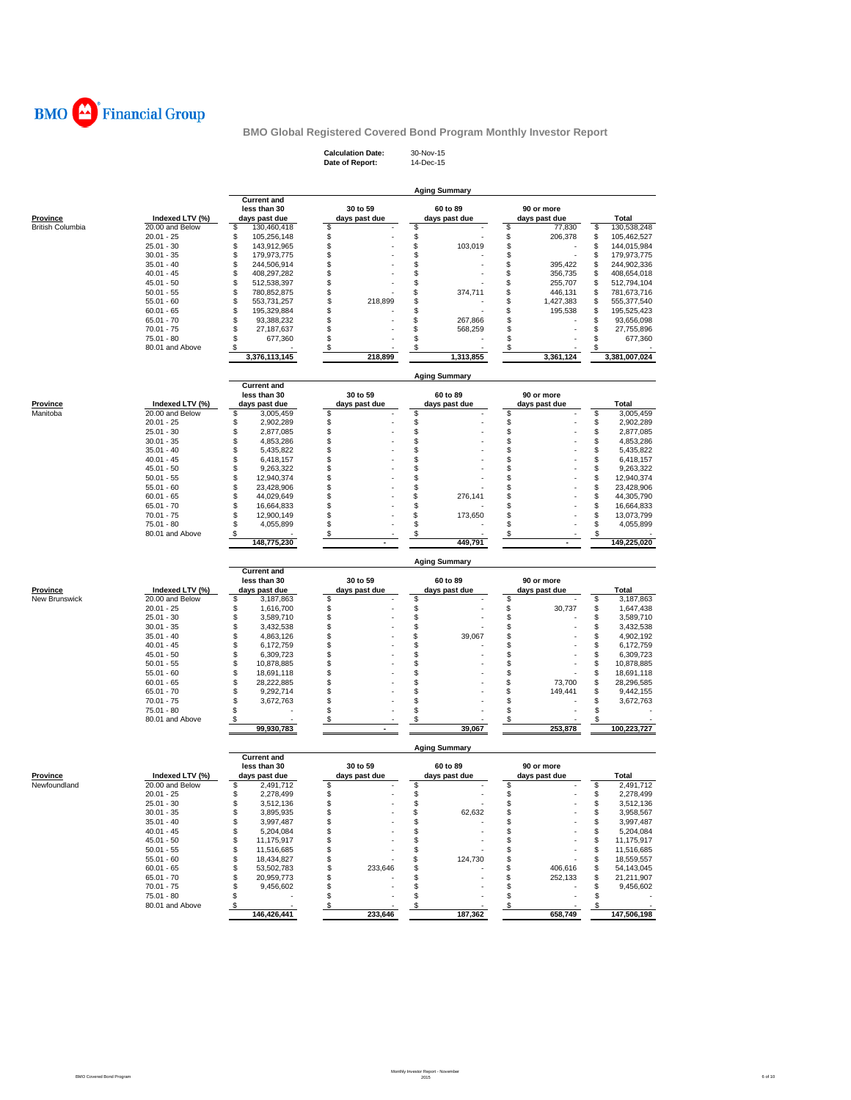

**Calculation Date:** 30-Nov-15 **Date of Report:** 14-Dec-15

|                                            |                                    |                                    |                           | <b>Aging Summary</b>      |                               |                                    |
|--------------------------------------------|------------------------------------|------------------------------------|---------------------------|---------------------------|-------------------------------|------------------------------------|
|                                            |                                    | <b>Current and</b><br>less than 30 | 30 to 59                  | 60 to 89                  | 90 or more                    |                                    |
| <b>Province</b><br><b>British Columbia</b> | Indexed LTV (%)<br>20.00 and Below | days past due<br>\$<br>130,460,418 | days past due<br>\$       | days past due<br>\$       | days past due<br>\$<br>77,830 | Total<br>\$<br>130,538,248         |
|                                            | $20.01 - 25$                       | \$<br>105,256,148                  | \$                        | \$                        | \$<br>206,378                 | \$<br>105,462,527                  |
|                                            | $25.01 - 30$                       | \$<br>143,912,965                  | \$                        | \$<br>103,019             | \$                            | \$<br>144,015,984                  |
|                                            | $30.01 - 35$                       | \$<br>179,973,775                  | \$                        | \$                        | \$                            | \$<br>179,973,775                  |
|                                            | $35.01 - 40$                       | \$<br>244,506,914                  | \$                        | \$                        | \$<br>395.422                 | S<br>244,902,336                   |
|                                            | $40.01 - 45$                       | \$<br>408,297,282                  | \$                        | \$                        | \$<br>356,735                 | 408,654,018<br>S                   |
|                                            | 45.01 - 50                         | \$<br>512,538,397                  | \$                        | \$                        | \$<br>255,707                 | S<br>512,794,104                   |
|                                            | $50.01 - 55$                       | \$<br>780,852,875                  | \$                        | \$<br>374,711             | \$<br>446,131                 | \$<br>781,673,716                  |
|                                            | $55.01 - 60$                       | \$<br>553,731,257                  | \$<br>218,899             | \$                        | \$<br>1,427,383               | S<br>555,377,540                   |
|                                            | $60.01 - 65$                       | \$<br>195,329,884                  | \$                        | \$                        | \$<br>195,538                 | S<br>195,525,423                   |
|                                            | 65.01 - 70<br>$70.01 - 75$         | \$<br>93,388,232                   | \$                        | \$<br>267,866             | \$                            | S<br>93,656,098                    |
|                                            | $75.01 - 80$                       | \$<br>27, 187, 637<br>\$           | \$<br>\$                  | \$<br>568,259<br>\$       | \$<br>\$                      | S<br>27,755,896<br>\$              |
|                                            | 80.01 and Above                    | 677,360<br>\$                      | \$                        | \$                        | \$                            | 677,360<br>S                       |
|                                            |                                    | 3,376,113,145                      | 218,899                   | 1,313,855                 | 3,361,124                     | 3,381,007,024                      |
|                                            |                                    |                                    |                           | <b>Aging Summary</b>      |                               |                                    |
|                                            |                                    | <b>Current and</b><br>less than 30 | 30 to 59                  | 60 to 89                  | 90 or more                    |                                    |
| <b>Province</b>                            | Indexed LTV (%)                    | days past due                      | days past due             | days past due             | days past due                 | Total                              |
| Manitoba                                   | 20.00 and Below                    | \$<br>3,005,459                    | \$                        | \$<br>\$                  | \$<br>\$                      | \$<br>3,005,459                    |
|                                            | $20.01 - 25$                       | \$<br>2,902,289                    | \$                        |                           |                               | \$<br>2,902,289                    |
|                                            | $25.01 - 30$<br>$30.01 - 35$       | \$<br>2,877,085<br>\$              | \$<br>\$                  | \$<br>\$                  | \$<br>\$                      | \$<br>2,877,085<br>\$              |
|                                            | $35.01 - 40$                       | 4,853,286<br>\$<br>5,435,822       | \$                        | \$                        | \$                            | 4,853,286<br>\$<br>5,435,822       |
|                                            | $40.01 - 45$                       | \$<br>6,418,157                    | \$                        | \$                        | \$                            | \$<br>6,418,157                    |
|                                            | 45.01 - 50                         | \$<br>9,263,322                    | \$                        | \$                        | \$                            | \$<br>9,263,322                    |
|                                            | $50.01 - 55$                       | \$<br>12,940,374                   | \$                        | \$                        | \$                            | \$<br>12,940,374                   |
|                                            | $55.01 - 60$                       | \$<br>23,428,906                   | \$                        | \$                        | \$                            | \$<br>23,428,906                   |
|                                            | $60.01 - 65$                       | \$<br>44,029,649                   | \$                        | \$<br>276,141             | \$                            | \$<br>44,305,790                   |
|                                            | 65.01 - 70                         | \$<br>16,664,833                   | \$                        | \$                        | \$                            | \$<br>16,664,833                   |
|                                            | $70.01 - 75$                       | \$<br>12,900,149                   | \$                        | \$<br>173,650             | \$                            | \$<br>13,073,799                   |
|                                            | 75.01 - 80                         | \$<br>4,055,899                    | \$                        | \$                        | \$                            | \$<br>4,055,899                    |
|                                            | 80.01 and Above                    | \$                                 | \$                        | \$                        | \$                            | \$                                 |
|                                            |                                    | 148,775,230                        |                           | 449,791                   |                               | 149,225,020                        |
|                                            |                                    | <b>Current and</b>                 |                           | <b>Aging Summary</b>      |                               |                                    |
|                                            |                                    | less than 30                       | 30 to 59                  | 60 to 89                  | 90 or more                    |                                    |
| <b>Province</b>                            | Indexed LTV (%)                    | days past due                      | days past due             | days past due             | days past due                 | Total                              |
| New Brunswick                              | 20.00 and Below                    | \$<br>3,187,863                    | \$                        | \$                        | \$                            | \$<br>3,187,863                    |
|                                            | $20.01 - 25$                       | \$<br>1,616,700                    | \$                        | \$                        | \$<br>30,737                  | \$<br>1,647,438                    |
|                                            | $25.01 - 30$                       | \$<br>3,589,710                    | \$                        | \$                        | \$                            | \$<br>3,589,710                    |
|                                            | $30.01 - 35$                       | \$<br>3,432,538                    | \$                        | \$                        | \$                            | \$<br>3,432,538                    |
|                                            | $35.01 - 40$                       | \$<br>4,863,126<br>\$              | \$<br>\$                  | \$<br>39,067<br>\$        | \$<br>\$                      | \$<br>4,902,192                    |
|                                            | 40.01 - 45<br>$45.01 - 50$         | 6,172,759<br>\$                    | \$                        | \$                        | \$                            | \$<br>6,172,759<br>\$<br>6,309,723 |
|                                            | $50.01 - 55$                       | 6,309,723<br>\$<br>10,878,885      | \$                        | \$                        | \$                            | \$<br>10,878,885                   |
|                                            | $55.01 - 60$                       | \$<br>18,691,118                   | \$                        | \$                        | \$                            | \$<br>18,691,118                   |
|                                            | $60.01 - 65$                       | \$<br>28,222,885                   | \$                        | \$                        | \$<br>73,700                  | \$<br>28,296,585                   |
|                                            | $65.01 - 70$                       | \$<br>9,292,714                    | \$                        | \$                        | \$<br>149,441                 | \$<br>9,442,155                    |
|                                            | $70.01 - 75$                       | \$<br>3,672,763                    | \$                        | \$                        | \$                            | \$<br>3,672,763                    |
|                                            | 75.01 - 80                         | \$                                 | \$                        | \$                        | \$                            | \$                                 |
|                                            | 80.01 and Above                    | \$<br>99,930,783                   | \$<br>$\sim$              | \$<br>39,067              | \$<br>253,878                 | \$<br>100,223,727                  |
|                                            |                                    |                                    |                           | <b>Aging Summary</b>      |                               |                                    |
|                                            |                                    | <b>Current and</b>                 |                           |                           |                               |                                    |
| <b>Province</b>                            | Indexed LTV (%)                    | less than 30<br>days past due      | 30 to 59<br>days past due | 60 to 89<br>days past due | 90 or more<br>days past due   | Total                              |
| Newfoundland                               | 20.00 and Below                    | \$<br>2,491,712                    | \$                        | \$                        | \$                            | \$<br>2,491,712                    |
|                                            | $20.01 - 25$                       | \$<br>2,278,499                    | \$                        | \$                        | \$                            | \$<br>2,278,499                    |
|                                            | 25.01 - 30                         | \$<br>3,512,136                    | \$                        | \$                        | \$                            | \$<br>3,512,136                    |
|                                            | $30.01 - 35$                       | \$<br>3,895,935                    | \$                        | \$<br>62,632              | \$                            | \$<br>3,958,567                    |
|                                            | $35.01 - 40$                       | \$<br>3,997,487                    | \$                        | \$                        | \$                            | \$<br>3,997,487                    |
|                                            | $40.01 - 45$                       | \$<br>5,204,084                    | \$                        | \$                        | \$                            | \$<br>5,204,084                    |
|                                            | $45.01 - 50$                       | \$<br>11,175,917                   | \$                        | \$                        | \$                            | \$<br>11,175,917                   |
|                                            | $50.01 - 55$                       | \$<br>11,516,685                   | \$                        | \$                        | \$                            | \$<br>11,516,685                   |
|                                            | $55.01 - 60$                       | \$<br>18,434,827                   | \$                        | \$<br>124,730             | \$                            | \$<br>18,559,557                   |
|                                            | $60.01 - 65$                       | \$<br>53,502,783                   | \$<br>233,646             | \$                        | \$<br>406,616                 | \$<br>54,143,045                   |
|                                            | $65.01 - 70$                       | \$<br>20,959,773                   | \$                        | \$                        | \$<br>252,133                 | \$<br>21,211,907                   |
|                                            | $70.01 - 75$                       | \$<br>9,456,602                    | \$                        | \$                        | \$                            | \$<br>9,456,602                    |
|                                            | 75.01 - 80                         | \$<br>$\overline{\phantom{a}}$     | \$                        | \$<br>\$                  | \$                            | \$                                 |
|                                            | 80.01 and Above                    | \$<br>146,426,441                  | \$<br>233,646             | 187,362                   | \$<br>658,749                 | \$<br>147,506,198                  |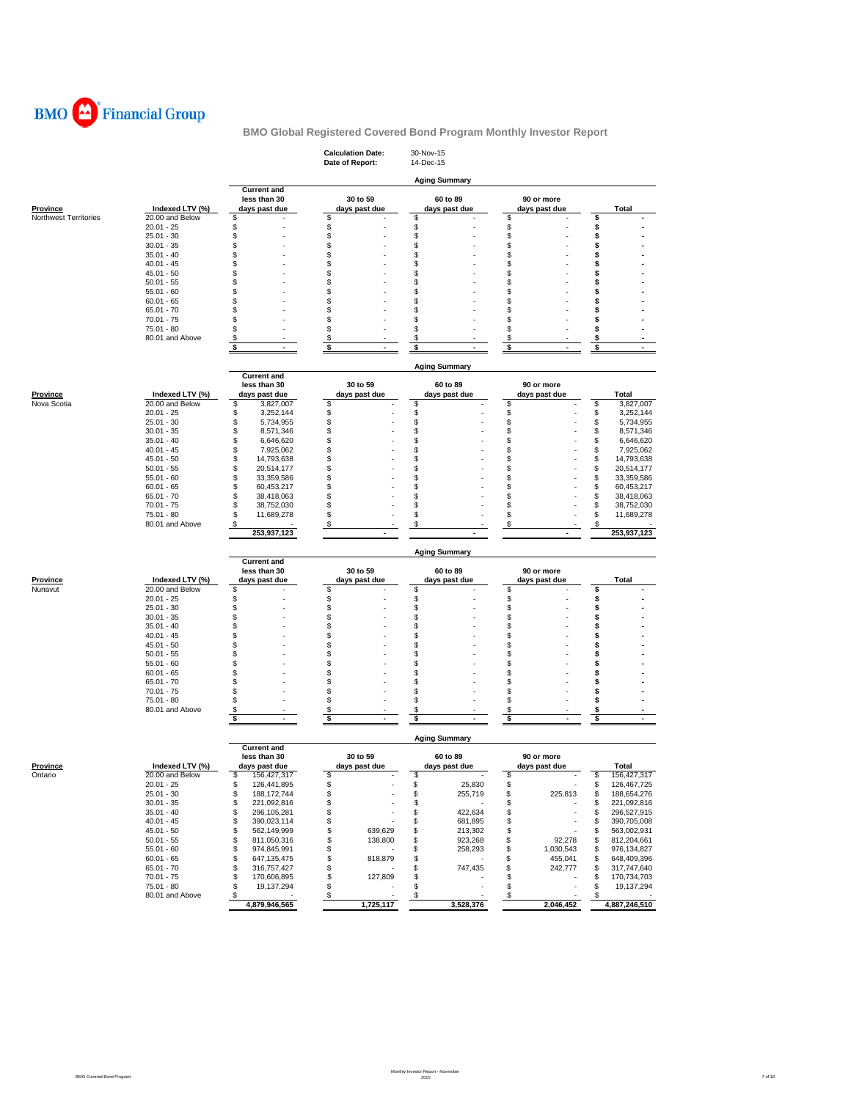

|                                          |                                    |                                          | <b>Calculation Date:</b><br>Date of Report: | 30-Nov-15<br>14-Dec-15 |                     |                                      |
|------------------------------------------|------------------------------------|------------------------------------------|---------------------------------------------|------------------------|---------------------|--------------------------------------|
|                                          |                                    |                                          |                                             |                        |                     |                                      |
|                                          |                                    | <b>Current and</b>                       |                                             | <b>Aging Summary</b>   |                     |                                      |
|                                          |                                    | less than 30                             | 30 to 59                                    | 60 to 89               | 90 or more          |                                      |
| <b>Province</b><br>Northwest Territories | Indexed LTV (%)<br>20.00 and Below | days past due<br>\$                      | days past due<br>\$                         | days past due<br>\$    | days past due<br>\$ | Total<br>\$                          |
|                                          | $20.01 - 25$                       | \$                                       | \$                                          | \$                     | \$                  | \$                                   |
|                                          | $25.01 - 30$                       | S                                        | \$                                          | \$                     | \$                  | \$                                   |
|                                          | $30.01 - 35$                       | S                                        | \$                                          | \$                     | \$                  | \$                                   |
|                                          | $35.01 - 40$                       | \$                                       | \$                                          | \$                     | \$                  | \$                                   |
|                                          | $40.01 - 45$                       | S<br>S                                   | \$                                          | \$                     | \$                  | \$                                   |
|                                          | $45.01 - 50$<br>$50.01 - 55$       | S                                        | \$<br>\$                                    | \$<br>\$               | \$<br>\$            | \$<br>\$                             |
|                                          | $55.01 - 60$                       | S                                        | \$                                          | S                      | \$                  | s                                    |
|                                          | $60.01 - 65$                       | S                                        | \$                                          | \$                     | \$                  | \$                                   |
|                                          | $65.01 - 70$                       | S                                        | \$                                          | \$                     | \$                  | \$                                   |
|                                          | $70.01 - 75$                       | S                                        | \$                                          | \$                     | \$                  | \$                                   |
|                                          | 75.01 - 80                         | S                                        | \$                                          | \$                     | \$                  | s                                    |
|                                          | 80.01 and Above                    | \$<br>$\blacksquare$                     | \$<br>$\blacksquare$                        | \$                     | \$                  | \$                                   |
|                                          |                                    | \$                                       | \$                                          | \$                     | \$                  | \$                                   |
|                                          |                                    |                                          |                                             | <b>Aging Summary</b>   |                     |                                      |
|                                          |                                    | <b>Current and</b>                       |                                             |                        |                     |                                      |
|                                          |                                    | less than 30                             | 30 to 59                                    | 60 to 89               | 90 or more          |                                      |
| Province<br>Nova Scotia                  | Indexed LTV (%)<br>20.00 and Below | days past due<br>3,827,007<br>\$         | days past due<br>\$                         | days past due<br>\$    | days past due<br>S  | Total<br>\$<br>3,827,007             |
|                                          | $20.01 - 25$                       | \$<br>3,252,144                          | \$                                          | \$                     | \$                  | \$<br>3,252,144                      |
|                                          | $25.01 - 30$                       | \$<br>5,734,955                          | \$                                          | \$                     | \$                  | \$<br>5,734,955                      |
|                                          | $30.01 - 35$                       | \$<br>8,571,346                          | \$                                          | \$                     | \$                  | \$<br>8,571,346                      |
|                                          | $35.01 - 40$                       | \$<br>6,646,620                          | \$                                          | \$                     | \$                  | \$<br>6,646,620                      |
|                                          | $40.01 - 45$                       | \$<br>7,925,062                          | \$                                          | \$                     | \$                  | \$<br>7,925,062                      |
|                                          | $45.01 - 50$                       | \$<br>14,793,638                         | \$                                          | \$                     | \$                  | \$<br>14,793,638                     |
|                                          | $50.01 - 55$                       | \$<br>20,514,177                         | \$                                          | \$                     | \$                  | \$<br>20,514,177                     |
|                                          | $55.01 - 60$<br>$60.01 - 65$       | \$<br>33,359,586<br>\$<br>60,453,217     | \$<br>\$                                    | \$<br>\$               | \$<br>\$            | \$<br>33,359,586<br>\$<br>60,453,217 |
|                                          | $65.01 - 70$                       | \$<br>38,418,063                         | \$                                          | \$                     | \$                  | \$<br>38,418,063                     |
|                                          | $70.01 - 75$                       | \$<br>38,752,030                         | \$                                          | \$                     | \$                  | 38,752,030<br>\$                     |
|                                          | 75.01 - 80                         | \$<br>11,689,278                         | \$                                          | \$                     | \$                  | \$<br>11,689,278                     |
|                                          | 80.01 and Above                    | \$                                       | \$                                          | \$                     | \$                  | \$                                   |
|                                          |                                    | 253,937,123                              |                                             |                        |                     | 253,937,123                          |
|                                          |                                    |                                          |                                             | <b>Aging Summary</b>   |                     |                                      |
|                                          |                                    | <b>Current and</b>                       |                                             |                        |                     |                                      |
|                                          |                                    | less than 30                             | 30 to 59                                    | 60 to 89               | 90 or more          |                                      |
| <b>Province</b>                          | Indexed LTV (%)                    | days past due                            | days past due                               | days past due          | days past due       | Total                                |
| Nunavut                                  | 20.00 and Below                    | \$                                       | \$                                          | \$                     | \$                  | \$                                   |
|                                          | $20.01 - 25$<br>$25.01 - 30$       | \$<br>\$                                 | \$<br>\$                                    | \$<br>\$               | \$<br>\$            | \$<br>\$                             |
|                                          | $30.01 - 35$                       | Ŝ                                        | \$                                          | \$                     | \$                  | \$                                   |
|                                          | $35.01 - 40$                       | S                                        | \$                                          | \$                     | \$                  | \$                                   |
|                                          | $40.01 - 45$                       | S                                        | \$                                          | \$                     | \$                  | \$                                   |
|                                          | $45.01 - 50$                       | S                                        | \$                                          | \$                     | \$                  | \$                                   |
|                                          | $50.01 - 55$                       | S                                        | \$                                          | S                      | \$                  | \$                                   |
|                                          | $55.01 - 60$                       | S                                        | \$                                          | \$                     | \$                  | \$                                   |
|                                          | $60.01 - 65$                       | S                                        | \$                                          | \$                     | \$                  | \$                                   |
|                                          | $65.01 - 70$<br>$70.01 - 75$       | S<br>S                                   | \$<br>\$                                    | \$<br>\$               | \$<br>\$            | \$<br>\$                             |
|                                          | 75.01 - 80                         | S                                        | \$                                          | \$                     | \$                  | \$                                   |
|                                          | 80.01 and Above                    | \$                                       | \$                                          | \$                     | \$                  | \$                                   |
|                                          |                                    | \$                                       | \$                                          | \$                     | \$                  | \$                                   |
|                                          |                                    |                                          |                                             | <b>Aging Summary</b>   |                     |                                      |
|                                          |                                    | <b>Current and</b>                       |                                             |                        |                     |                                      |
|                                          |                                    | less than 30                             | 30 to 59                                    | 60 to 89               | 90 or more          |                                      |
| <b>Province</b>                          | Indexed LTV (%)                    | days past due                            | days past due                               | days past due          | days past due       | Total                                |
| Ontario                                  | 20.00 and Below                    | 5<br>156,427,317                         | \$                                          | 5                      | s                   | \$<br>156,427,317                    |
|                                          | $20.01 - 25$                       | \$<br>126,441,895                        | \$                                          | \$<br>25,830           | \$                  | \$<br>126,467,725                    |
|                                          | 25.01 - 30<br>$30.01 - 35$         | \$<br>188, 172, 744<br>\$<br>221,092,816 | \$<br>\$                                    | \$<br>255,719<br>\$    | \$<br>225,813<br>\$ | \$<br>188,654,276<br>221,092,816     |
|                                          | $35.01 - 40$                       | \$<br>296,105,281                        | \$                                          | 422,634<br>\$          | \$                  | \$<br>\$<br>296,527,915              |
|                                          | $40.01 - 45$                       | \$<br>390,023,114                        | \$                                          | 681,895<br>\$          | \$                  | \$<br>390,705,008                    |
|                                          | $45.01 - 50$                       | \$<br>562,149,999                        | \$<br>639,629                               | \$<br>213,302          | \$                  | 563,002,931<br>\$                    |
|                                          | $50.01 - 55$                       | \$<br>811,050,316                        | \$<br>138,800                               | \$<br>923,268          | \$<br>92,278        | 812,204,661<br>\$                    |
|                                          | $55.01 - 60$                       | \$<br>974,845,991                        | \$                                          | \$<br>258.293          | \$<br>1,030,543     | \$<br>976,134,827                    |
|                                          | $60.01 - 65$                       | 647, 135, 475<br>\$                      | \$<br>818,879                               | \$                     | \$<br>455,041       | 648,409,396<br>\$                    |
|                                          | $65.01 - 70$                       | \$<br>316,757,427                        | \$                                          | \$<br>747,435          | \$<br>242,777       | 317,747,640<br>\$                    |
|                                          | $70.01 - 75$                       | 170,606,895<br>\$                        | \$<br>127,809                               | \$                     | \$                  | \$<br>170,734,703                    |
|                                          | 75.01 - 80<br>80.01 and Above      | \$<br>19,137,294<br>\$                   | \$<br>\$                                    | \$<br>\$               | \$<br>\$            | \$<br>19,137,294<br>\$               |
|                                          |                                    | 4,879,946,565                            | 1,725,117                                   | 3,528,376              | 2,046,452           | 4,887,246,510                        |

Monthly Investor Report - November 2015 7 of 10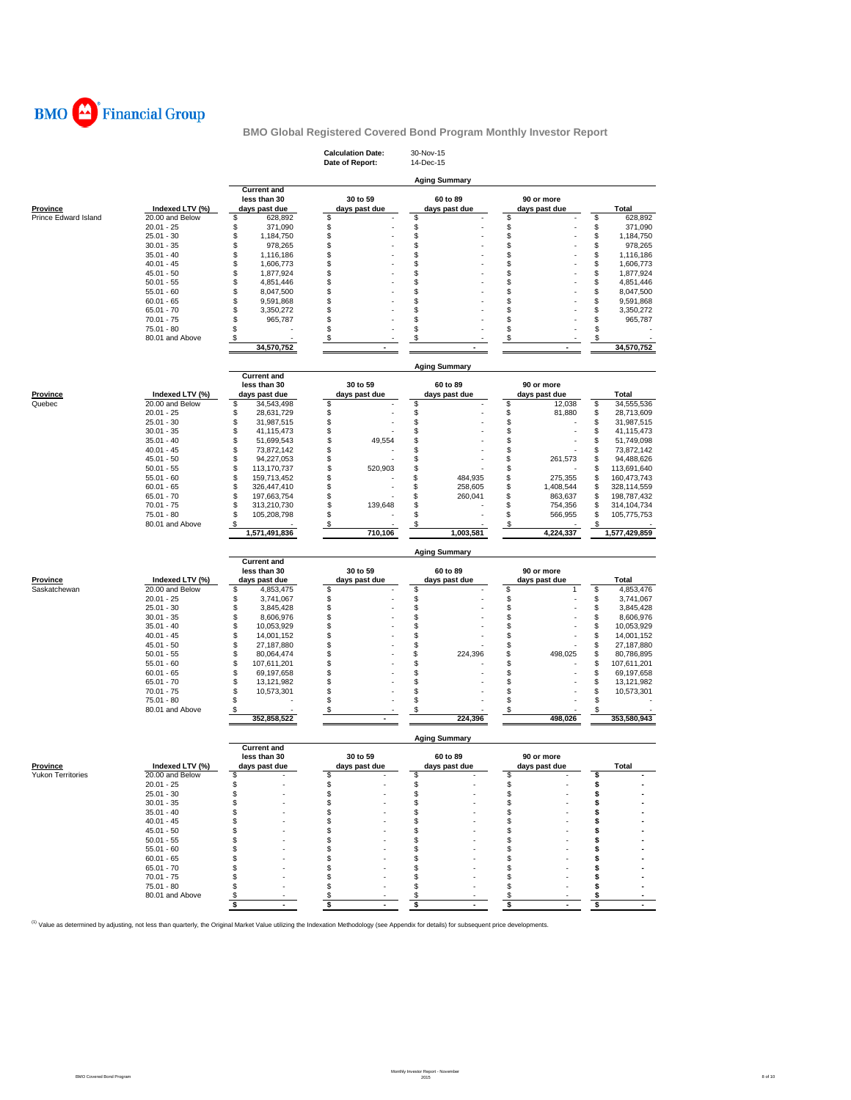

|                                  |                                    |                                    | <b>Calculation Date:</b><br>Date of Report: | 30-Nov-15<br>14-Dec-15 |                    |                               |
|----------------------------------|------------------------------------|------------------------------------|---------------------------------------------|------------------------|--------------------|-------------------------------|
|                                  |                                    |                                    |                                             | <b>Aging Summary</b>   |                    |                               |
|                                  |                                    | <b>Current and</b><br>less than 30 | 30 to 59                                    | 60 to 89               | 90 or more         |                               |
| Province<br>Prince Edward Island | Indexed LTV (%)<br>20.00 and Below | days past due<br>628,892<br>\$     | days past due<br>\$                         | days past due<br>\$    | days past due<br>S | <b>Total</b><br>\$<br>628,892 |
|                                  | $20.01 - 25$                       | \$<br>371,090                      | \$                                          | \$                     | \$                 | \$<br>371,090                 |
|                                  | $25.01 - 30$                       | \$<br>1,184,750                    | \$                                          | \$                     | \$                 | \$<br>1,184,750               |
|                                  | $30.01 - 35$                       | \$<br>978,265                      | \$                                          | \$                     | \$                 | \$<br>978,265                 |
|                                  | $35.01 - 40$                       | \$<br>1,116,186                    | \$                                          | \$                     | \$                 | \$<br>1,116,186               |
|                                  | $40.01 - 45$                       | \$<br>1,606,773                    | \$                                          | \$                     | \$                 | \$<br>1,606,773               |
|                                  | $45.01 - 50$                       | \$<br>1,877,924                    | \$                                          | \$                     | \$                 | \$                            |
|                                  | $50.01 - 55$                       |                                    | \$                                          | \$                     | \$                 | 1,877,924                     |
|                                  |                                    | \$<br>4,851,446                    | \$                                          |                        |                    | \$<br>4,851,446               |
|                                  | $55.01 - 60$                       | \$<br>8,047,500                    |                                             | \$                     | \$                 | \$<br>8,047,500               |
|                                  | $60.01 - 65$                       | \$<br>9,591,868                    | \$                                          | \$                     | \$                 | \$<br>9,591,868               |
|                                  | $65.01 - 70$                       | \$<br>3,350,272                    | \$                                          | \$                     | \$                 | \$<br>3,350,272               |
|                                  | $70.01 - 75$                       | \$<br>965,787                      | \$                                          | \$                     | \$                 | \$<br>965,787                 |
|                                  | 75.01 - 80                         | \$                                 | \$                                          | \$                     | \$                 | S                             |
|                                  | 80.01 and Above                    | \$                                 | \$                                          | \$                     | \$                 | \$                            |
|                                  |                                    | 34,570,752                         |                                             |                        |                    | 34,570,752                    |
|                                  |                                    | <b>Current and</b>                 |                                             | <b>Aging Summary</b>   |                    |                               |
|                                  |                                    | less than 30                       | 30 to 59                                    | 60 to 89               | 90 or more         |                               |
| Province                         | Indexed LTV (%)                    | days past due                      | days past due                               | days past due          | days past due      | Total                         |
| Quebec                           | 20.00 and Below                    | \$<br>34,543,498                   | \$                                          | \$                     | \$<br>12,038       | \$<br>34,555,536              |
|                                  | $20.01 - 25$                       | \$<br>28,631,729                   | \$                                          | \$                     | 81,880<br>\$       | \$<br>28,713,609              |
|                                  | $25.01 - 30$                       | \$                                 |                                             | \$                     | \$                 | \$                            |
|                                  | $30.01 - 35$                       | 31,987,515<br>\$                   | \$                                          |                        | \$                 | 31,987,515                    |
|                                  |                                    | 41,115,473                         | \$                                          | \$                     |                    | \$<br>41,115,473              |
|                                  | $35.01 - 40$                       | \$<br>51,699,543                   | \$<br>49,554                                | \$                     | \$                 | \$<br>51,749,098              |
|                                  | $40.01 - 45$                       | \$<br>73,872,142                   | \$                                          | \$                     | \$                 | \$<br>73,872,142              |
|                                  | $45.01 - 50$                       | \$<br>94,227,053                   | \$                                          | \$                     | \$<br>261,573      | \$<br>94,488,626              |
|                                  | $50.01 - 55$                       | \$<br>113,170,737                  | \$<br>520,903                               | \$                     | \$                 | \$<br>113,691,640             |
|                                  | $55.01 - 60$                       | \$<br>159,713,452                  | \$                                          | \$<br>484,935          | \$<br>275,355      | \$<br>160,473,743             |
|                                  | $60.01 - 65$                       | \$<br>326,447,410                  | \$                                          | \$<br>258.605          | \$<br>1,408,544    | \$<br>328,114,559             |
|                                  | $65.01 - 70$                       | \$<br>197,663,754                  | \$                                          | \$<br>260,041          | \$<br>863,637      | \$<br>198,787,432             |
|                                  | $70.01 - 75$                       | \$<br>313,210,730                  | \$<br>139,648                               | \$                     | \$<br>754,356      | \$<br>314,104,734             |
|                                  | 75.01 - 80                         | \$<br>105,208,798                  | \$                                          | \$                     | S<br>566,955       | \$<br>105,775,753             |
|                                  | 80.01 and Above                    | \$                                 | \$                                          | \$                     | \$                 | S                             |
|                                  |                                    |                                    |                                             |                        |                    |                               |
|                                  |                                    | 1,571,491,836                      | 710,106                                     | 1,003,581              | 4,224,337          | 1,577,429,859                 |
|                                  |                                    |                                    |                                             | <b>Aging Summary</b>   |                    |                               |
|                                  |                                    | <b>Current and</b>                 |                                             |                        |                    |                               |
|                                  |                                    | less than 30                       | 30 to 59                                    | 60 to 89               | 90 or more         |                               |
| <b>Province</b>                  | Indexed LTV (%)                    | days past due                      | days past due                               | days past due          | days past due      | Total                         |
| Saskatchewan                     | 20.00 and Below                    | \$<br>4,853,475                    | \$                                          | \$                     | \$<br>1            | \$<br>4,853,476               |
|                                  | $20.01 - 25$                       | \$<br>3,741,067                    | \$                                          | \$                     | \$                 | \$<br>3,741,067               |
|                                  | $25.01 - 30$                       | \$<br>3,845,428                    | \$                                          | \$                     | \$                 | \$<br>3,845,428               |
|                                  | $30.01 - 35$                       | \$<br>8,606,976                    | \$                                          | \$                     | \$                 | \$<br>8,606,976               |
|                                  | $35.01 - 40$                       | \$<br>10,053,929                   | \$                                          | \$                     | \$                 | \$<br>10,053,929              |
|                                  | $40.01 - 45$                       | \$<br>14,001,152                   | \$                                          | \$                     | \$                 | \$<br>14,001,152              |
|                                  | $45.01 - 50$                       | 27,187,880                         | \$                                          | \$                     | \$                 | \$<br>27,187,880              |
|                                  | $50.01 - 55$                       | \$<br>\$<br>80,064,474             | \$                                          | \$<br>224,396          | \$<br>498,025      | \$<br>80,786,895              |
|                                  | $55.01 - 60$                       | \$<br>107,611,201                  | \$                                          | \$                     | \$                 | \$<br>107,611,201             |
|                                  | $60.01 - 65$                       |                                    |                                             |                        | \$                 |                               |
|                                  | $65.01 - 70$                       | \$<br>69,197,658                   | \$                                          | \$                     |                    | \$<br>69,197,658              |
|                                  |                                    | \$<br>13,121,982                   | \$                                          | \$                     | \$                 | \$<br>13,121,982              |
|                                  | $70.01 - 75$                       | \$<br>10,573,301                   | \$                                          | \$                     | \$                 | \$<br>10,573,301              |
|                                  | 75.01 - 80<br>80.01 and Above      | \$<br>\$                           | \$<br>\$                                    | \$<br>\$               | \$<br>\$           | \$<br>S                       |
|                                  |                                    | 352,858,522                        |                                             | 224,396                | 498,026            | 353,580,943                   |
|                                  |                                    |                                    |                                             | <b>Aging Summary</b>   |                    |                               |
|                                  |                                    | <b>Current and</b>                 |                                             |                        |                    |                               |
|                                  |                                    | less than 30                       | 30 to 59                                    | 60 to 89               | 90 or more         |                               |
| <b>Province</b>                  | Indexed LTV (%)                    | days past due                      | days past due                               | days past due          | days past due      | <b>Total</b>                  |
| <b>Yukon Territories</b>         | 20.00 and Below                    | S                                  | \$                                          | \$                     | \$                 |                               |
|                                  | $20.01 - 25$                       | \$                                 | \$                                          | \$                     | \$                 | s                             |
|                                  | $25.01 - 30$                       | \$                                 | \$                                          | \$                     | \$                 | s                             |
|                                  | $30.01 - 35$                       | \$                                 | \$                                          | \$                     | \$                 | \$                            |
|                                  | $35.01 - 40$                       | \$                                 | \$                                          | \$                     | \$                 | \$                            |
|                                  | $40.01 - 45$                       | \$                                 | \$                                          | \$                     | \$                 | \$                            |
|                                  | $45.01 - 50$                       | \$                                 | \$                                          | \$                     | \$                 | s                             |
|                                  | $50.01 - 55$                       | \$                                 | \$                                          | \$                     | \$                 | s                             |
|                                  | $55.01 - 60$                       | \$                                 | \$                                          | \$                     | \$                 |                               |
|                                  |                                    | S                                  |                                             |                        | \$                 | s                             |
|                                  | $60.01 - 65$                       | \$                                 | \$<br>\$                                    | \$                     | \$                 | s                             |
|                                  | $65.01 - 70$                       |                                    |                                             | \$                     |                    | s                             |
|                                  | $70.01 - 75$                       | \$                                 | \$                                          | \$                     | \$                 |                               |
|                                  | $75.01 - 80$<br>80.01 and Above    | \$<br>\$                           | \$<br>\$                                    | \$<br>\$               | \$<br>\$           | \$<br>\$                      |

<sup>(1)</sup> Value as determined by adjusting, not less than quarterly, the Original Market Value utilizing the Indexation Methodology (see Appendix for details) for subsequent price developments.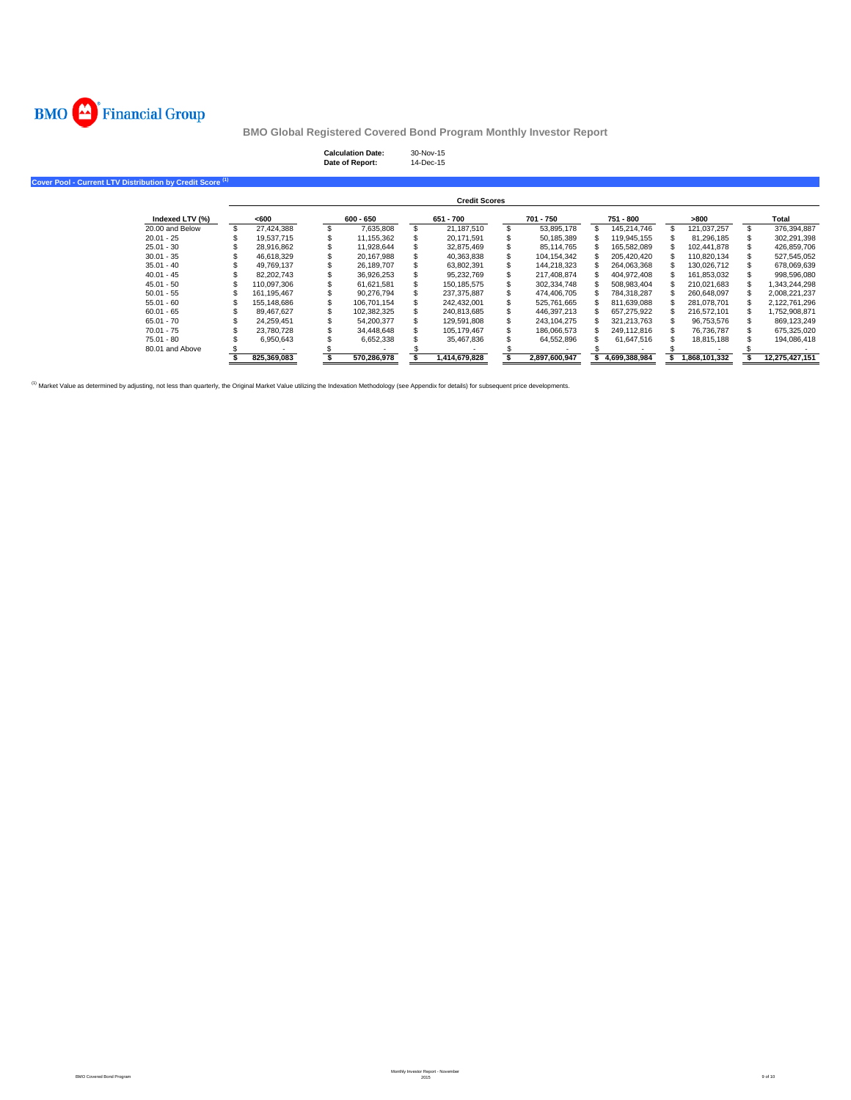

# **Calculation Date:** 30-Nov-15 **Date of Report:** 14-Dec-15

**Cover Pool - Current LTV Distribution by Credit Score (1)**

|                 |             |             | <b>Credit Scores</b> |               |   |               |               |                |
|-----------------|-------------|-------------|----------------------|---------------|---|---------------|---------------|----------------|
| Indexed LTV (%) | <600        | $600 - 650$ | 651 - 700            | 701 - 750     |   | 751 - 800     | >800          | Total          |
| 20.00 and Below | 27.424.388  | 7.635.808   | \$<br>21.187.510     | 53.895.178    |   | 145.214.746   | 121.037.257   | 376.394.887    |
| $20.01 - 25$    | 19.537.715  | 11.155.362  | 20.171.591           | 50,185,389    | S | 119.945.155   | 81.296.185    | 302.291.398    |
| $25.01 - 30$    | 28.916.862  | 11.928.644  | 32.875.469           | 85.114.765    |   | 165.582.089   | 102.441.878   | 426.859.706    |
| $30.01 - 35$    | 46.618.329  | 20.167.988  | 40,363,838           | 104, 154, 342 |   | 205.420.420   | 110.820.134   | 527,545,052    |
| $35.01 - 40$    | 49.769.137  | 26.189.707  | 63.802.391           | 144.218.323   |   | 264.063.368   | 130.026.712   | 678,069,639    |
| $40.01 - 45$    | 82.202.743  | 36.926.253  | 95.232.769           | 217.408.874   | S | 404.972.408   | 161.853.032   | 998.596.080    |
| $45.01 - 50$    | 110.097.306 | 61.621.581  | 150.185.575          | 302.334.748   |   | 508.983.404   | 210.021.683   | 1.343.244.298  |
| $50.01 - 55$    | 161.195.467 | 90.276.794  | 237,375,887          | 474,406,705   |   | 784.318.287   | 260.648.097   | 2,008,221,237  |
| $55.01 - 60$    | 155.148.686 | 106.701.154 | 242.432.001          | 525.761.665   |   | 811.639.088   | 281.078.701   | 2.122.761.296  |
| $60.01 - 65$    | 89.467.627  | 102.382.325 | 240.813.685          | 446.397.213   |   | 657.275.922   | 216.572.101   | 1,752,908,871  |
| $65.01 - 70$    | 24.259.451  | 54.200.377  | 129.591.808          | 243.104.275   |   | 321.213.763   | 96.753.576    | 869.123.249    |
| $70.01 - 75$    | 23,780,728  | 34.448.648  | 105.179.467          | 186,066,573   |   | 249.112.816   | 76.736.787    | 675.325.020    |
| 75.01 - 80      | 6.950.643   | 6,652,338   | 35,467,836           | 64,552,896    |   | 61.647.516    | 18.815.188    | 194,086,418    |
| 80.01 and Above |             |             |                      |               |   |               |               |                |
|                 | 825.369.083 | 570.286.978 | 1.414.679.828        | 2.897.600.947 |   | 4.699.388.984 | 1.868.101.332 | 12.275.427.151 |

<sup>(1)</sup> Market Value as determined by adjusting, not less than quarterly, the Original Market Value utilizing the Indexation Methodology (see Appendix for details) for subsequent price developments.